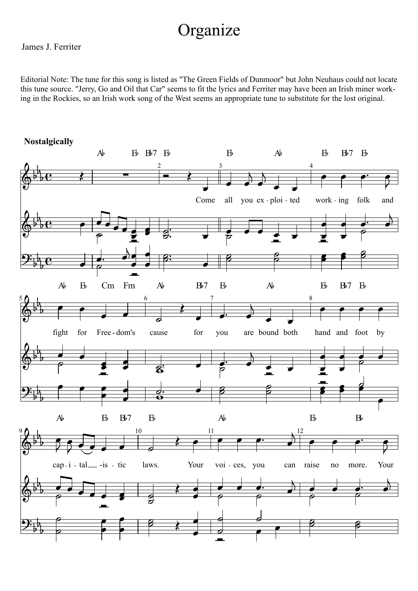## Organize

## James J. Ferriter

Editorial Note: The tune for this song is listed as "The Green Fields of Dunmoor" but John Neuhaus could not locate this tune source. "Jerry, Go and Oil that Car" seems to fit the lyrics and Ferriter may have been an Irish miner working in the Rockies, so an Irish work song of the West seems an appropriate tune to substitute for the lost original.

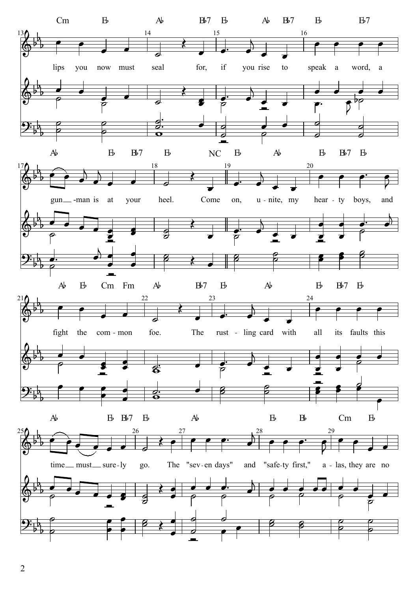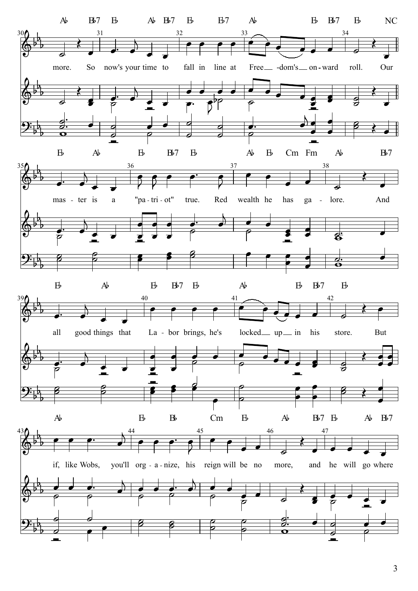